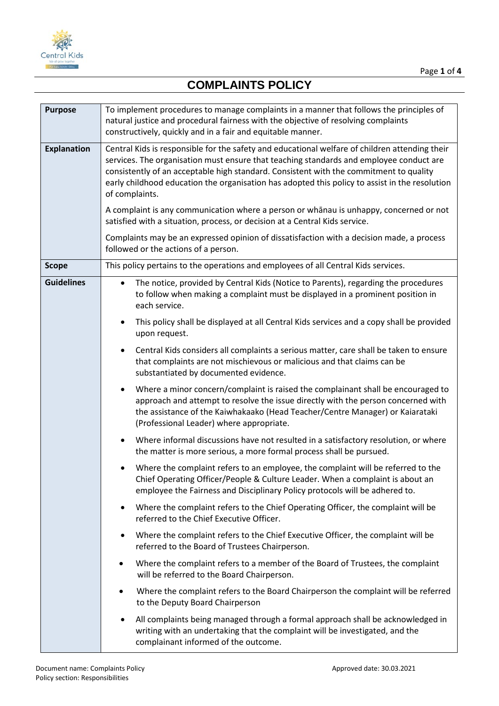

| <b>Purpose</b>     | To implement procedures to manage complaints in a manner that follows the principles of<br>natural justice and procedural fairness with the objective of resolving complaints<br>constructively, quickly and in a fair and equitable manner.                                                                                                                                                            |
|--------------------|---------------------------------------------------------------------------------------------------------------------------------------------------------------------------------------------------------------------------------------------------------------------------------------------------------------------------------------------------------------------------------------------------------|
| <b>Explanation</b> | Central Kids is responsible for the safety and educational welfare of children attending their<br>services. The organisation must ensure that teaching standards and employee conduct are<br>consistently of an acceptable high standard. Consistent with the commitment to quality<br>early childhood education the organisation has adopted this policy to assist in the resolution<br>of complaints. |
|                    | A complaint is any communication where a person or whānau is unhappy, concerned or not<br>satisfied with a situation, process, or decision at a Central Kids service.                                                                                                                                                                                                                                   |
|                    | Complaints may be an expressed opinion of dissatisfaction with a decision made, a process<br>followed or the actions of a person.                                                                                                                                                                                                                                                                       |
| <b>Scope</b>       | This policy pertains to the operations and employees of all Central Kids services.                                                                                                                                                                                                                                                                                                                      |
| <b>Guidelines</b>  | The notice, provided by Central Kids (Notice to Parents), regarding the procedures<br>$\bullet$<br>to follow when making a complaint must be displayed in a prominent position in<br>each service.                                                                                                                                                                                                      |
|                    | This policy shall be displayed at all Central Kids services and a copy shall be provided<br>upon request.                                                                                                                                                                                                                                                                                               |
|                    | Central Kids considers all complaints a serious matter, care shall be taken to ensure<br>that complaints are not mischievous or malicious and that claims can be<br>substantiated by documented evidence.                                                                                                                                                                                               |
|                    | Where a minor concern/complaint is raised the complainant shall be encouraged to<br>approach and attempt to resolve the issue directly with the person concerned with<br>the assistance of the Kaiwhakaako (Head Teacher/Centre Manager) or Kaiarataki<br>(Professional Leader) where appropriate.                                                                                                      |
|                    | Where informal discussions have not resulted in a satisfactory resolution, or where<br>the matter is more serious, a more formal process shall be pursued.                                                                                                                                                                                                                                              |
|                    | Where the complaint refers to an employee, the complaint will be referred to the<br>Chief Operating Officer/People & Culture Leader. When a complaint is about an<br>employee the Fairness and Disciplinary Policy protocols will be adhered to.                                                                                                                                                        |
|                    | Where the complaint refers to the Chief Operating Officer, the complaint will be<br>٠<br>referred to the Chief Executive Officer.                                                                                                                                                                                                                                                                       |
|                    | Where the complaint refers to the Chief Executive Officer, the complaint will be<br>referred to the Board of Trustees Chairperson.                                                                                                                                                                                                                                                                      |
|                    | Where the complaint refers to a member of the Board of Trustees, the complaint<br>$\bullet$<br>will be referred to the Board Chairperson.                                                                                                                                                                                                                                                               |
|                    | Where the complaint refers to the Board Chairperson the complaint will be referred<br>$\bullet$<br>to the Deputy Board Chairperson                                                                                                                                                                                                                                                                      |
|                    | All complaints being managed through a formal approach shall be acknowledged in<br>writing with an undertaking that the complaint will be investigated, and the<br>complainant informed of the outcome.                                                                                                                                                                                                 |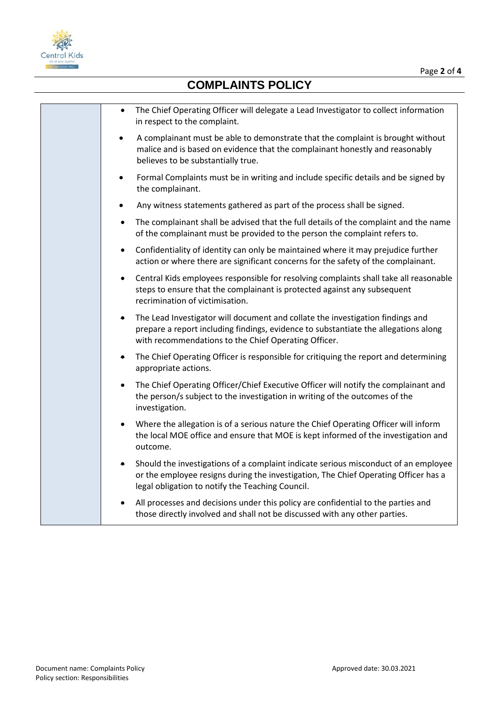

| The Chief Operating Officer will delegate a Lead Investigator to collect information<br>$\bullet$<br>in respect to the complaint.                                                                                                  |
|------------------------------------------------------------------------------------------------------------------------------------------------------------------------------------------------------------------------------------|
| A complainant must be able to demonstrate that the complaint is brought without<br>malice and is based on evidence that the complainant honestly and reasonably<br>believes to be substantially true.                              |
| Formal Complaints must be in writing and include specific details and be signed by<br>the complainant.                                                                                                                             |
| Any witness statements gathered as part of the process shall be signed.                                                                                                                                                            |
| The complainant shall be advised that the full details of the complaint and the name<br>of the complainant must be provided to the person the complaint refers to.                                                                 |
| Confidentiality of identity can only be maintained where it may prejudice further<br>٠<br>action or where there are significant concerns for the safety of the complainant.                                                        |
| Central Kids employees responsible for resolving complaints shall take all reasonable<br>steps to ensure that the complainant is protected against any subsequent<br>recrimination of victimisation.                               |
| The Lead Investigator will document and collate the investigation findings and<br>٠<br>prepare a report including findings, evidence to substantiate the allegations along<br>with recommendations to the Chief Operating Officer. |
| The Chief Operating Officer is responsible for critiquing the report and determining<br>appropriate actions.                                                                                                                       |
| The Chief Operating Officer/Chief Executive Officer will notify the complainant and<br>$\bullet$<br>the person/s subject to the investigation in writing of the outcomes of the<br>investigation.                                  |
| Where the allegation is of a serious nature the Chief Operating Officer will inform<br>$\bullet$<br>the local MOE office and ensure that MOE is kept informed of the investigation and<br>outcome.                                 |
| Should the investigations of a complaint indicate serious misconduct of an employee<br>or the employee resigns during the investigation, The Chief Operating Officer has a<br>legal obligation to notify the Teaching Council.     |
| All processes and decisions under this policy are confidential to the parties and<br>those directly involved and shall not be discussed with any other parties.                                                                    |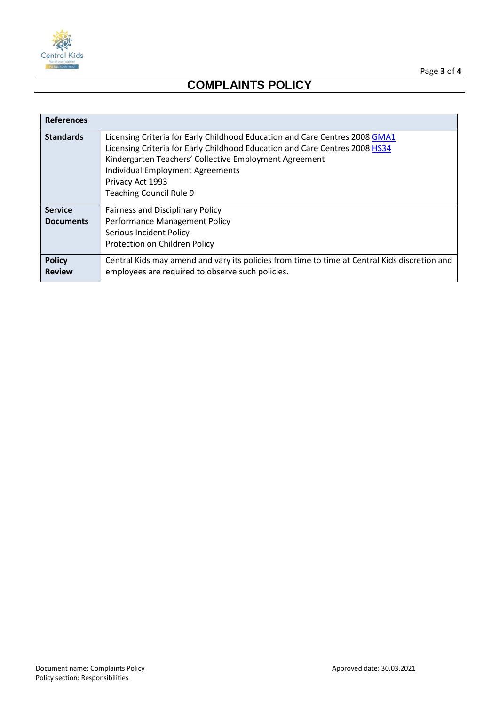

| <b>References</b>                  |                                                                                                                                                                                                                                                                                                                       |
|------------------------------------|-----------------------------------------------------------------------------------------------------------------------------------------------------------------------------------------------------------------------------------------------------------------------------------------------------------------------|
| <b>Standards</b>                   | Licensing Criteria for Early Childhood Education and Care Centres 2008 GMA1<br>Licensing Criteria for Early Childhood Education and Care Centres 2008 HS34<br>Kindergarten Teachers' Collective Employment Agreement<br><b>Individual Employment Agreements</b><br>Privacy Act 1993<br><b>Teaching Council Rule 9</b> |
| <b>Service</b><br><b>Documents</b> | <b>Fairness and Disciplinary Policy</b><br>Performance Management Policy<br>Serious Incident Policy<br>Protection on Children Policy                                                                                                                                                                                  |
| <b>Policy</b><br><b>Review</b>     | Central Kids may amend and vary its policies from time to time at Central Kids discretion and<br>employees are required to observe such policies.                                                                                                                                                                     |